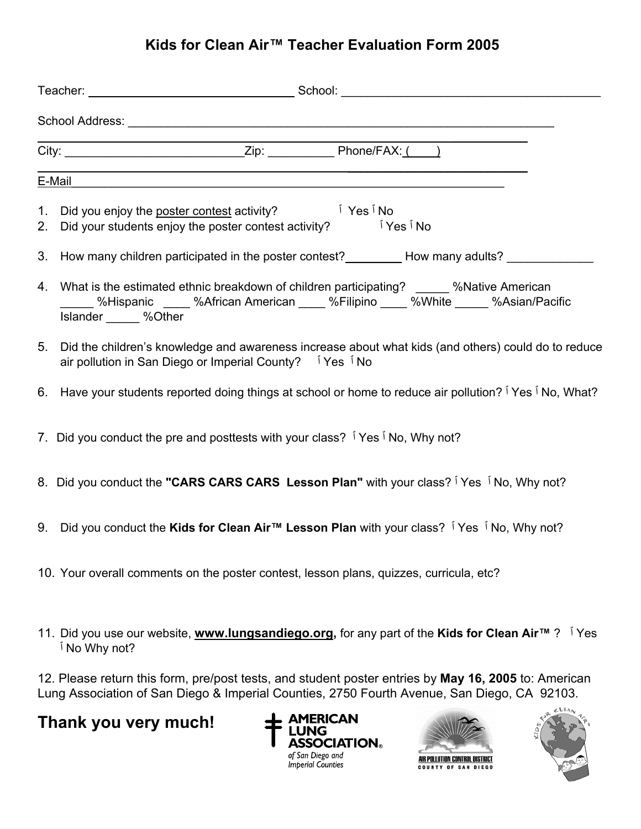## **Kids for Clean Air™ Teacher Evaluation Form 2005**

| E-Mail                                                                                                                                                                                                |      |
|-------------------------------------------------------------------------------------------------------------------------------------------------------------------------------------------------------|------|
| 1. Did you enjoy the poster contest activity? The first five five<br>ÍYes Í No<br>2. Did your students enjoy the poster contest activity?                                                             |      |
| 3. How many children participated in the poster contest? _________ How many adults? _______                                                                                                           |      |
| 4. What is the estimated ethnic breakdown of children participating? _____ %Native American<br>__ %Hispanic ____ %African American ____ %Filipino ____ %White _____ %Asian/Pacific<br>Islander %Other |      |
| 5. Did the children's knowledge and awareness increase about what kids (and others) could do to reduce<br>air pollution in San Diego or Imperial County?   Yes   No                                   |      |
| 6. Have your students reported doing things at school or home to reduce air pollution? I Yes I No, What?                                                                                              |      |
| 7. Did you conduct the pre and posttests with your class? I Yes I No, Why not?                                                                                                                        |      |
| 8. Did you conduct the "CARS CARS CARS Lesson Plan" with your class? I Yes I No, Why not?                                                                                                             |      |
| 9. Did you conduct the Kids for Clean Air™ Lesson Plan with your class? I Yes I No, Why not?                                                                                                          |      |
| 10. Your overall comments on the poster contest, lesson plans, quizzes, curricula, etc?                                                                                                               |      |
| 11. Did you use our website, www.lungsandiego.org, for any part of the Kids for Clean Air <sup>™</sup> ? <sup>i</sup> Yes<br><sup>1</sup> No Why not?                                                 |      |
| 12. Please return this form, pre/post tests, and student poster entries by May 16, 2005 to: American<br>Lung Association of San Diego & Imperial Counties, 2750 Fourth Avenue, San Diego, CA 92103.   | CLFA |

## **Thank you very much!**